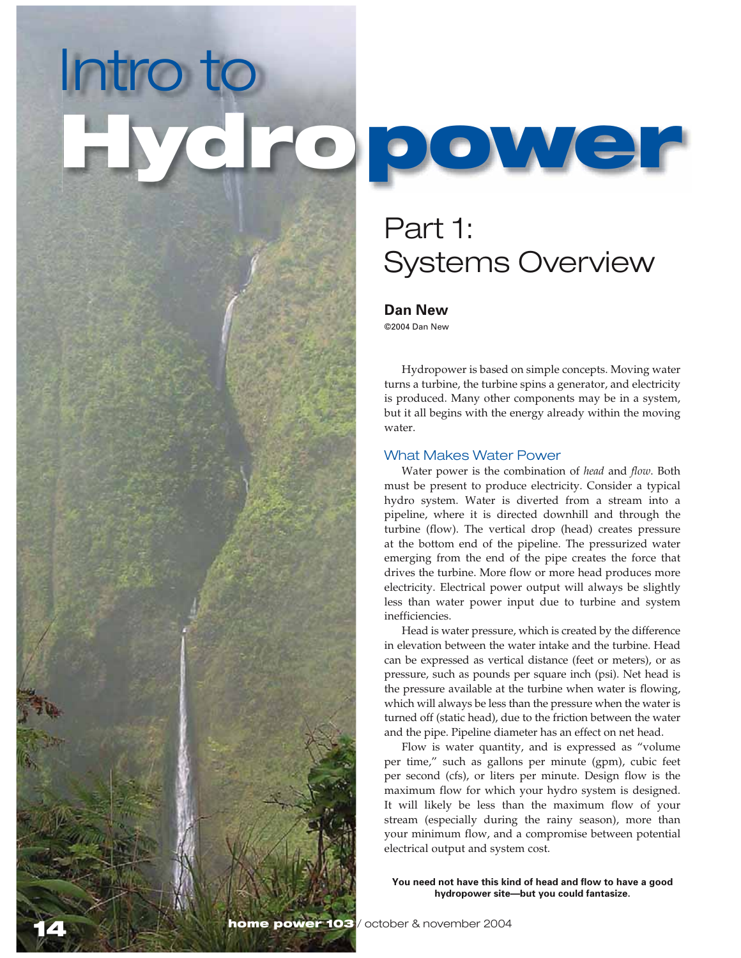# *)NTROTO*



# **Part 1: Systems Overview**

# Dan New

©2004 Dan New

Hydropower is based on simple concepts. Moving water turns a turbine, the turbine spins a generator, and electricity is produced. Many other components may be in a system, but it all begins with the energy already within the moving water.

# *What Makes Water Power*

Water power is the combination of head and flow. Both must be present to produce electricity. Consider a typical hydro system. Water is diverted from a stream into a pipeline, where it is directed downhill and through the turbine (flow). The vertical drop (head) creates pressure at the bottom end of the pipeline. The pressurized water emerging from the end of the pipe creates the force that drives the turbine. More flow or more head produces more electricity. Electrical power output will always be slightly less than water power input due to turbine and system inefficiencies.

Head is water pressure, which is created by the difference in elevation between the water intake and the turbine. Head can be expressed as vertical distance (feet or meters), or as pressure, such as pounds per square inch (psi). Net head is the pressure available at the turbine when water is flowing, which will always be less than the pressure when the water is turned off (static head), due to the friction between the water and the pipe. Pipeline diameter has an effect on net head.

Flow is water quantity, and is expressed as "volume" per time," such as gallons per minute (gpm), cubic feet per second (cfs), or liters per minute. Design flow is the maximum flow for which your hydro system is designed. It will likely be less than the maximum flow of your stream (especially during the rainy season), more than your minimum flow, and a compromise between potential electrical output and system cost.

You need not have this kind of head and flow to have a good hydropower site-but you could fantasize.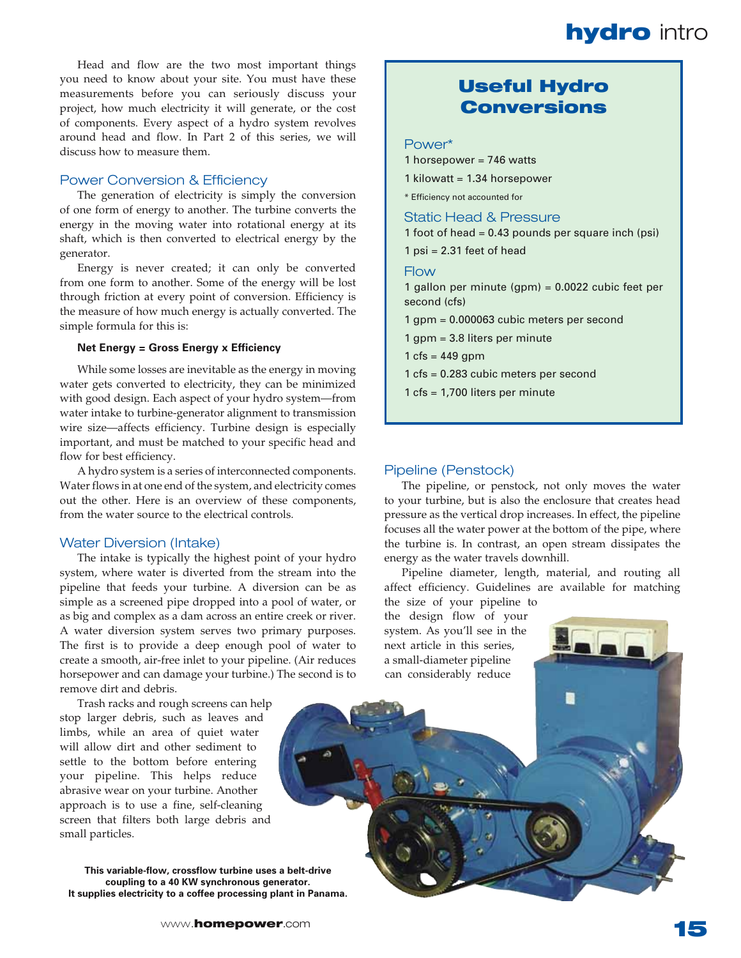Head and flow are the two most important things you need to know about your site. You must have these measurements before you can seriously discuss your project, how much electricity it will generate, or the cost of components. Every aspect of a hydro system revolves around head and flow. In Part 2 of this series, we will discuss how to measure them

# **Power Conversion & Efficiency**

The generation of electricity is simply the conversion of one form of energy to another. The turbine converts the energy in the moving water into rotational energy at its shaft, which is then converted to electrical energy by the generator.

Energy is never created; it can only be converted from one form to another. Some of the energy will be lost through friction at every point of conversion. Efficiency is the measure of how much energy is actually converted. The simple formula for this is:

### Net Energy = Gross Energy x Efficiency

While some losses are inevitable as the energy in moving water gets converted to electricity, they can be minimized with good design. Each aspect of your hydro system-from water intake to turbine-generator alignment to transmission wire size—affects efficiency. Turbine design is especially important, and must be matched to your specific head and flow for best efficiency.

A hydro system is a series of interconnected components. Water flows in at one end of the system, and electricity comes out the other. Here is an overview of these components, from the water source to the electrical controls.

### **Water Diversion (Intake)**

The intake is typically the highest point of your hydro system, where water is diverted from the stream into the pipeline that feeds your turbine. A diversion can be as simple as a screened pipe dropped into a pool of water, or as big and complex as a dam across an entire creek or river. A water diversion system serves two primary purposes. The first is to provide a deep enough pool of water to create a smooth, air-free inlet to your pipeline. (Air reduces horsepower and can damage your turbine.) The second is to remove dirt and debris.

Trash racks and rough screens can help stop larger debris, such as leaves and limbs, while an area of quiet water will allow dirt and other sediment to settle to the bottom before entering your pipeline. This helps reduce abrasive wear on your turbine. Another approach is to use a fine, self-cleaning screen that filters both large debris and small particles.

This variable-flow, crossflow turbine uses a belt-drive coupling to a 40 KW synchronous generator. It supplies electricity to a coffee processing plant in Panama.

# **Useful Hydro Conversions**

### Power\*

- 1 horsepower = 746 watts
- 1 kilowatt = 1.34 horsepower
- \* Efficiency not accounted for

**Static Head & Pressure** 

1 foot of head = 0.43 pounds per square inch (psi)

 $1$  psi = 2.31 feet of head

### Flow

1 gallon per minute (gpm) = 0.0022 cubic feet per second (cfs)

- 1 gpm = 0.000063 cubic meters per second
- 1 gpm = 3.8 liters per minute
- 1 cfs =  $449$  gpm
- 1 cfs = 0.283 cubic meters per second
- 1 cfs = 1,700 liters per minute

### Pipeline (Penstock)

The pipeline, or penstock, not only moves the water to your turbine, but is also the enclosure that creates head pressure as the vertical drop increases. In effect, the pipeline focuses all the water power at the bottom of the pipe, where the turbine is. In contrast, an open stream dissipates the energy as the water travels downhill.

Pipeline diameter, length, material, and routing all affect efficiency. Guidelines are available for matching

the size of your pipeline to the design flow of your system. As you'll see in the next article in this series, a small-diameter pipeline can considerably reduce

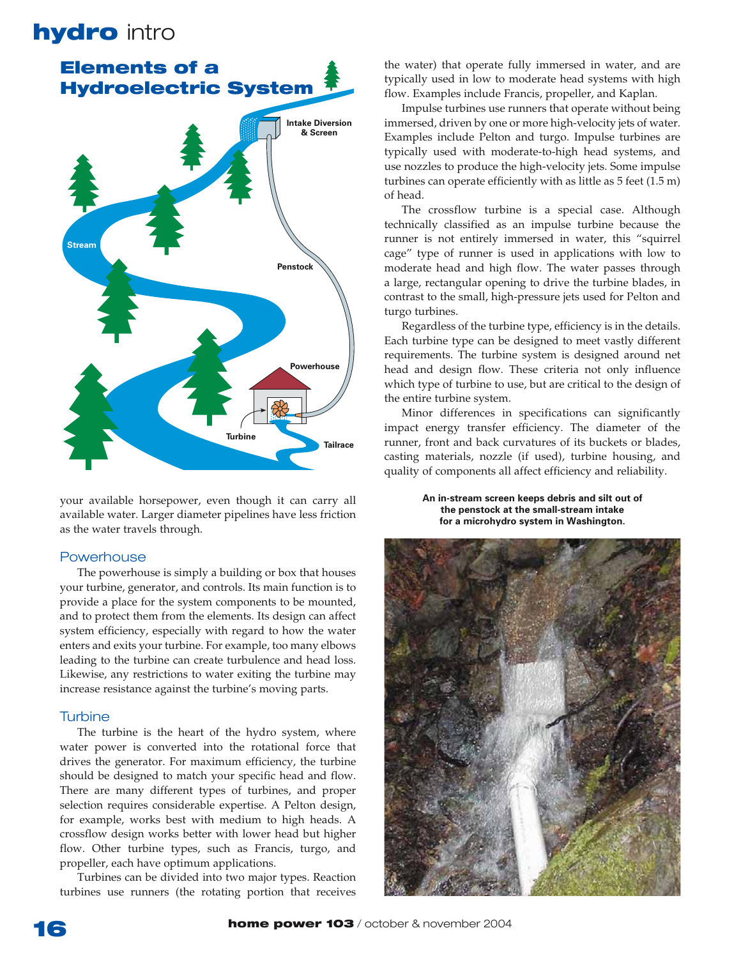

your available horsepower, even though it can carry all available water. Larger diameter pipelines have less friction as the water travels through.

# **Powerhouse**

The powerhouse is simply a building or box that houses your turbine, generator, and controls. Its main function is to provide a place for the system components to be mounted, and to protect them from the elements. Its design can affect system efficiency, especially with regard to how the water enters and exits your turbine. For example, too many elbows leading to the turbine can create turbulence and head loss. Likewise, any restrictions to water exiting the turbine may increase resistance against the turbine's moving parts.

# **Turbine**

The turbine is the heart of the hydro system, where water power is converted into the rotational force that drives the generator. For maximum efficiency, the turbine should be designed to match your specific head and flow. There are many different types of turbines, and proper selection requires considerable expertise. A Pelton design, for example, works best with medium to high heads. A crossflow design works better with lower head but higher flow. Other turbine types, such as Francis, turgo, and propeller, each have optimum applications.

Turbines can be divided into two major types. Reaction turbines use runners (the rotating portion that receives the water) that operate fully immersed in water, and are typically used in low to moderate head systems with high flow. Examples include Francis, propeller, and Kaplan.

Impulse turbines use runners that operate without being immersed, driven by one or more high-velocity jets of water. Examples include Pelton and turgo. Impulse turbines are typically used with moderate-to-high head systems, and use nozzles to produce the high-velocity jets. Some impulse turbines can operate efficiently with as little as  $5$  feet  $(1.5 \text{ m})$ of head.

The crossflow turbine is a special case. Although technically classified as an impulse turbine because the runner is not entirely immersed in water, this "squirrel cage" type of runner is used in applications with low to moderate head and high flow. The water passes through a large, rectangular opening to drive the turbine blades, in contrast to the small, high-pressure jets used for Pelton and turgo turbines.

Regardless of the turbine type, efficiency is in the details. Each turbine type can be designed to meet vastly different requirements. The turbine system is designed around net head and design flow. These criteria not only influence which type of turbine to use, but are critical to the design of the entire turbine system.

Minor differences in specifications can significantly impact energy transfer efficiency. The diameter of the runner, front and back curvatures of its buckets or blades, casting materials, nozzle (if used), turbine housing, and quality of components all affect efficiency and reliability.

> An in-stream screen keeps debris and silt out of the penstock at the small-stream intake for a microhydro system in Washington.

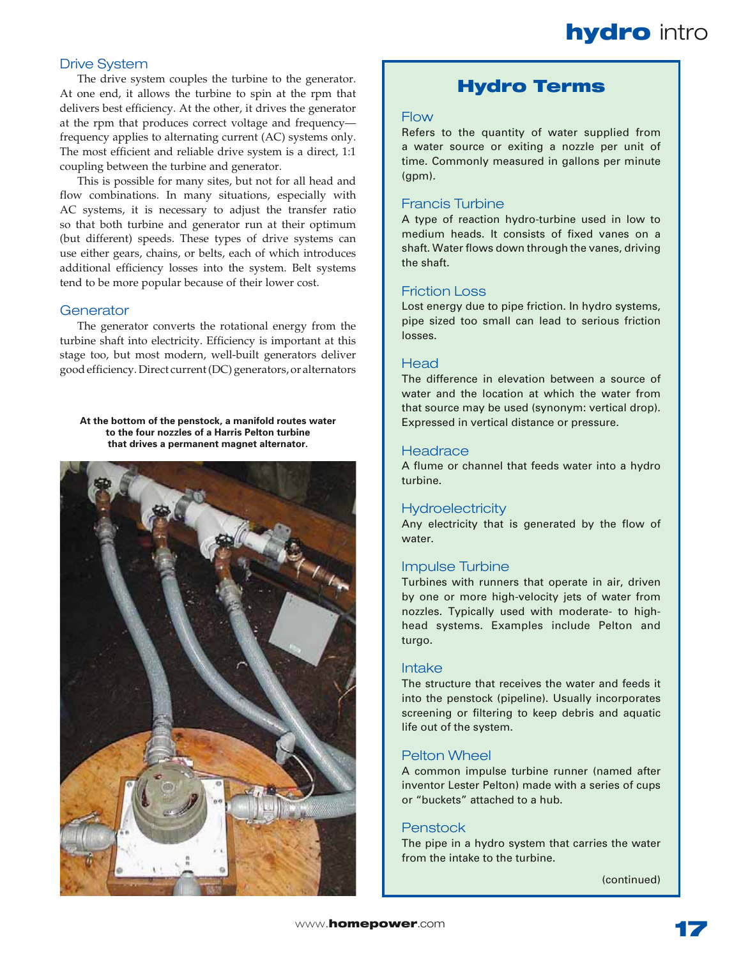# **Drive System**

The drive system couples the turbine to the generator. At one end, it allows the turbine to spin at the rpm that delivers best efficiency. At the other, it drives the generator at the rpm that produces correct voltage and frequencyfrequency applies to alternating current (AC) systems only. The most efficient and reliable drive system is a direct, 1:1 coupling between the turbine and generator.

This is possible for many sites, but not for all head and flow combinations. In many situations, especially with AC systems, it is necessary to adjust the transfer ratio so that both turbine and generator run at their optimum (but different) speeds. These types of drive systems can use either gears, chains, or belts, each of which introduces additional efficiency losses into the system. Belt systems tend to be more popular because of their lower cost.

# *'ENERATOR*

The generator converts the rotational energy from the turbine shaft into electricity. Efficiency is important at this stage too, but most modern, well-built generators deliver good efficiency. Direct current (DC) generators, or alternators

At the bottom of the penstock, a manifold routes water to the four nozzles of a Harris Pelton turbine that drives a permanent magnet alternator.



# **Hydro Terms**

# $Flow$

Refers to the quantity of water supplied from a water source or exiting a nozzle per unit of time. Commonly measured in gallons per minute  ${\rm (apm)}.$ 

# **Francis Turbine**

A type of reaction hydro-turbine used in low to medium heads. It consists of fixed vanes on a shaft. Water flows down through the vanes, driving the shaft.

# **Friction Loss**

Lost energy due to pipe friction. In hydro systems, pipe sized too small can lead to serious friction losses.

# Head

The difference in elevation between a source of water and the location at which the water from that source may be used (synonym: vertical drop). Expressed in vertical distance or pressure.

# *(EADRACE*

A flume or channel that feeds water into a hydro turbine.

# Hydroelectricity

Any electricity that is generated by the flow of water.

# **Impulse Turbine**

Turbines with runners that operate in air, driven by one or more high-velocity jets of water from nozzles. Typically used with moderate- to highhead systems. Examples include Pelton and turgo.

### *)NTAKE*

The structure that receives the water and feeds it into the penstock (pipeline). Usually incorporates screening or filtering to keep debris and aquatic life out of the system.

# **Pelton Wheel**

A common impulse turbine runner (named after inventor Lester Pelton) made with a series of cups or "buckets" attached to a hub.

# **Penstock**

The pipe in a hydro system that carries the water from the intake to the turbine.

(continued)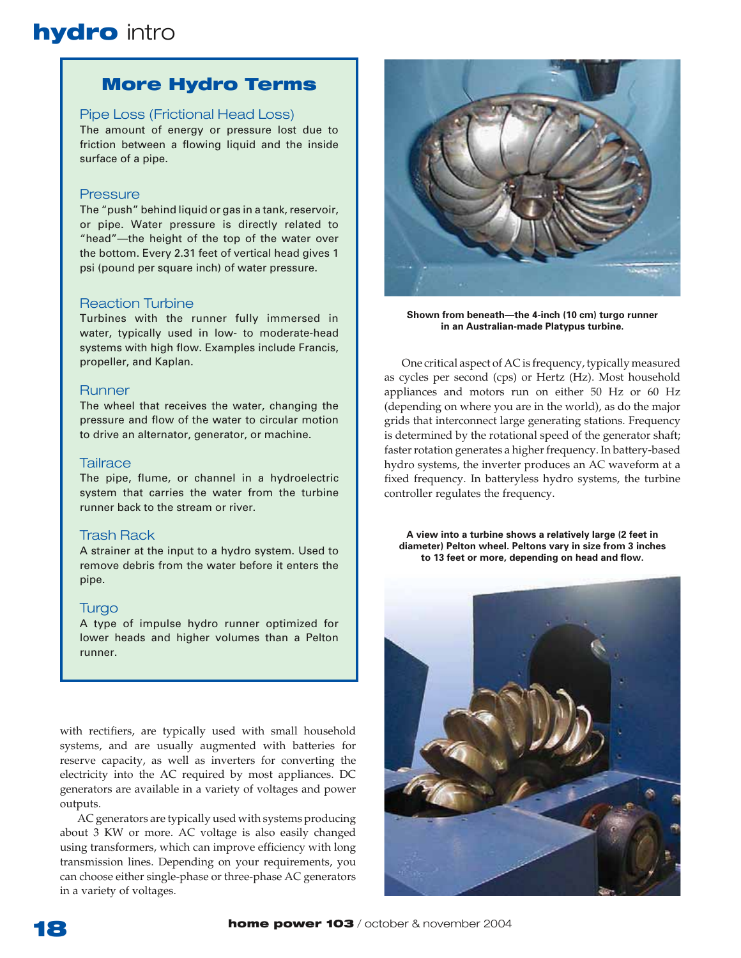# **More Hydro Terms**

# Pipe Loss (Frictional Head Loss)

The amount of energy or pressure lost due to friction between a flowing liquid and the inside surface of a pipe.

# Pressure

The "push" behind liquid or gas in a tank, reservoir, or pipe. Water pressure is directly related to "head"-the height of the top of the water over the bottom. Every 2.31 feet of vertical head gives 1 psi (pound per square inch) of water pressure.

# **Reaction Turbine**

Turbines with the runner fully immersed in water, typically used in low- to moderate-head systems with high flow. Examples include Francis, propeller, and Kaplan.

### **Runner**

The wheel that receives the water, changing the pressure and flow of the water to circular motion to drive an alternator, generator, or machine.

# **Tailrace**

The pipe, flume, or channel in a hydroelectric system that carries the water from the turbine runner back to the stream or river.

# **Trash Rack**

A strainer at the input to a hydro system. Used to remove debris from the water before it enters the pipe.

### Turgo

A type of impulse hydro runner optimized for lower heads and higher volumes than a Pelton runner.

with rectifiers, are typically used with small household systems, and are usually augmented with batteries for reserve capacity, as well as inverters for converting the electricity into the AC required by most appliances. DC generators are available in a variety of voltages and power outputs.

AC generators are typically used with systems producing about 3 KW or more. AC voltage is also easily changed using transformers, which can improve efficiency with long transmission lines. Depending on your requirements, you can choose either single-phase or three-phase AC generators in a variety of voltages.



Shown from beneath—the 4-inch (10 cm) turgo runner in an Australian-made Platypus turbine.

One critical aspect of AC is frequency, typically measured as cycles per second (cps) or Hertz (Hz). Most household appliances and motors run on either 50 Hz or 60 Hz (depending on where you are in the world), as do the major grids that interconnect large generating stations. Frequency is determined by the rotational speed of the generator shaft; faster rotation generates a higher frequency. In battery-based hydro systems, the inverter produces an AC waveform at a fixed frequency. In batteryless hydro systems, the turbine controller regulates the frequency.

A view into a turbine shows a relatively large (2 feet in diameter) Pelton wheel. Peltons vary in size from 3 inches to 13 feet or more, depending on head and flow.

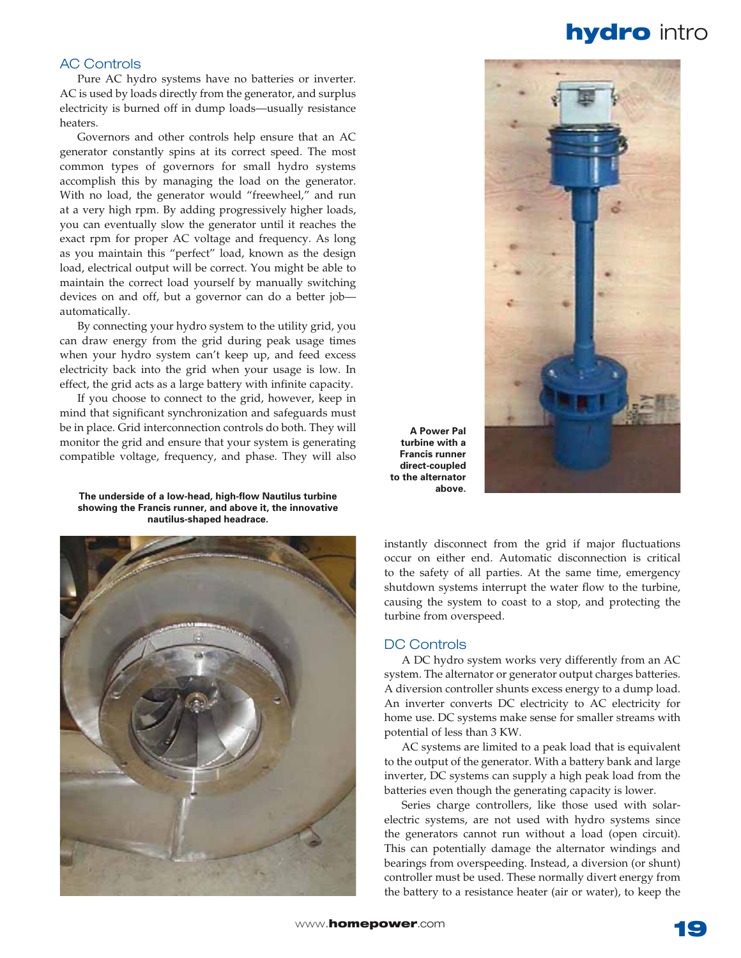# **AC Controls**

Pure AC hydro systems have no batteries or inverter. AC is used by loads directly from the generator, and surplus electricity is burned off in dump loads—usually resistance heaters.

Governors and other controls help ensure that an AC generator constantly spins at its correct speed. The most common types of governors for small hydro systems accomplish this by managing the load on the generator. With no load, the generator would "freewheel," and run at a very high rpm. By adding progressively higher loads, you can eventually slow the generator until it reaches the exact rpm for proper AC voltage and frequency. As long as you maintain this "perfect" load, known as the design load, electrical output will be correct. You might be able to maintain the correct load yourself by manually switching devices on and off, but a governor can do a better jobautomatically.

By connecting your hydro system to the utility grid, you can draw energy from the grid during peak usage times when your hydro system can't keep up, and feed excess electricity back into the grid when your usage is low. In effect, the grid acts as a large battery with infinite capacity.

If you choose to connect to the grid, however, keep in mind that significant synchronization and safeguards must be in place. Grid interconnection controls do both. They will monitor the grid and ensure that your system is generating compatible voltage, frequency, and phase. They will also

The underside of a low-head, high-flow Nautilus turbine showing the Francis runner, and above it, the innovative mautilus-shaped headrace.





**A** Power Pal **turbine** with a **Francis runner** direct-coupled to the alternator above.

instantly disconnect from the grid if major fluctuations occur on either end. Automatic disconnection is critical to the safety of all parties. At the same time, emergency shutdown systems interrupt the water flow to the turbine, causing the system to coast to a stop, and protecting the turbine from overspeed.

### **DC Controls**

A DC hydro system works very differently from an AC system. The alternator or generator output charges batteries. A diversion controller shunts excess energy to a dump load. An inverter converts DC electricity to AC electricity for home use. DC systems make sense for smaller streams with potential of less than 3 KW.

AC systems are limited to a peak load that is equivalent to the output of the generator. With a battery bank and large inverter, DC systems can supply a high peak load from the batteries even though the generating capacity is lower.

Series charge controllers, like those used with solarelectric systems, are not used with hydro systems since the generators cannot run without a load (open circuit). This can potentially damage the alternator windings and bearings from overspeeding. Instead, a diversion (or shunt) controller must be used. These normally divert energy from the battery to a resistance heater (air or water), to keep the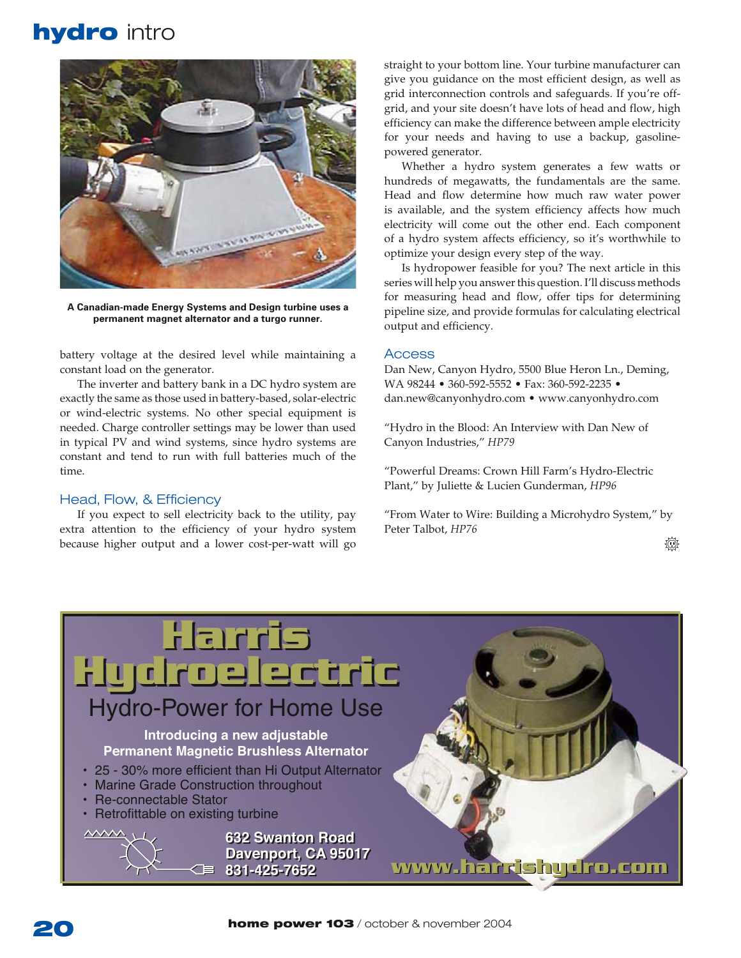

A Canadian-made Energy Systems and Design turbine uses a permanent magnet alternator and a turgo runner.

battery voltage at the desired level while maintaining a constant load on the generator.

The inverter and battery bank in a DC hydro system are exactly the same as those used in battery-based, solar-electric or wind-electric systems. No other special equipment is needed. Charge controller settings may be lower than used in typical PV and wind systems, since hydro systems are constant and tend to run with full batteries much of the time

# Head, Flow, & Efficiency

If you expect to sell electricity back to the utility, pay extra attention to the efficiency of your hydro system because higher output and a lower cost-per-watt will go

straight to your bottom line. Your turbine manufacturer can give you guidance on the most efficient design, as well as grid interconnection controls and safeguards. If you're offgrid, and your site doesn't have lots of head and flow, high efficiency can make the difference between ample electricity for your needs and having to use a backup, gasolinepowered generator.

Whether a hydro system generates a few watts or hundreds of megawatts, the fundamentals are the same. Head and flow determine how much raw water power is available, and the system efficiency affects how much electricity will come out the other end. Each component of a hydro system affects efficiency, so it's worthwhile to optimize your design every step of the way.

Is hydropower feasible for you? The next article in this series will help you answer this question. I'll discuss methods for measuring head and flow, offer tips for determining pipeline size, and provide formulas for calculating electrical output and efficiency.

### Access

Dan New, Canyon Hydro, 5500 Blue Heron Ln., Deming, WA 98244 • 360-592-5552 • Fax: 360-592-2235 • dan.new@canyonhydro.com • www.canyonhydro.com

"Hydro in the Blood: An Interview with Dan New of Canyon Industries," HP79

"Powerful Dreams: Crown Hill Farm's Hydro-Electric Plant," by Juliette & Lucien Gunderman, HP96

"From Water to Wire: Building a Microhydro System," by Peter Talbot, HP76

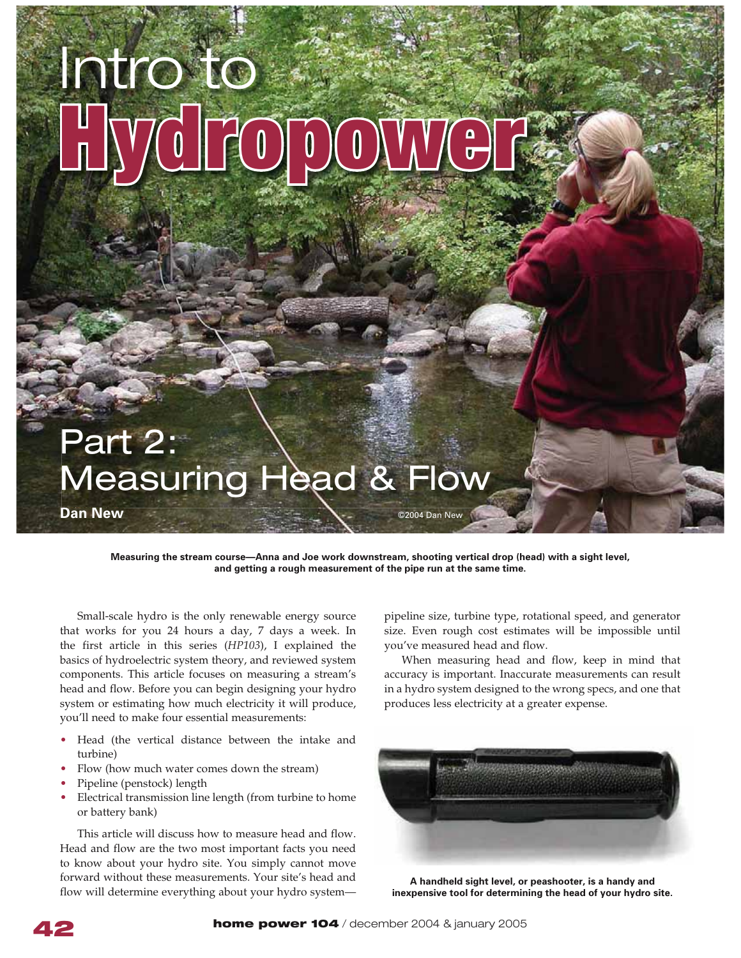# *)NTROTO* **Hydropower**

# **Part 2: Measuring Head & Flow**

**Dan New**  $\sum_{n=1}^{\infty}$  **C**  $\sum_{n=1}^{\infty}$  **C** 2004 Dan New

Measuring the stream course—Anna and Joe work downstream, shooting vertical drop (head) with a sight level, and getting a rough measurement of the pipe run at the same time.

Small-scale hydro is the only renewable energy source that works for you 24 hours a day, 7 days a week. In the first article in this series (HP103), I explained the basics of hydroelectric system theory, and reviewed system components. This article focuses on measuring a stream's head and flow. Before you can begin designing your hydro system or estimating how much electricity it will produce, you'll need to make four essential measurements:

- Head (the vertical distance between the intake and turbine)
- Flow (how much water comes down the stream)
- Pipeline (penstock) length
- Electrical transmission line length (from turbine to home or battery bank)

This article will discuss how to measure head and flow. Head and flow are the two most important facts you need to know about your hydro site. You simply cannot move forward without these measurements. Your site's head and flow will determine everything about your hydro system-

pipeline size, turbine type, rotational speed, and generator size. Even rough cost estimates will be impossible until you've measured head and flow.

When measuring head and flow, keep in mind that accuracy is important. Inaccurate measurements can result in a hydro system designed to the wrong specs, and one that produces less electricity at a greater expense.



A handheld sight level, or peashooter, is a handy and inexpensive tool for determining the head of your hydro site.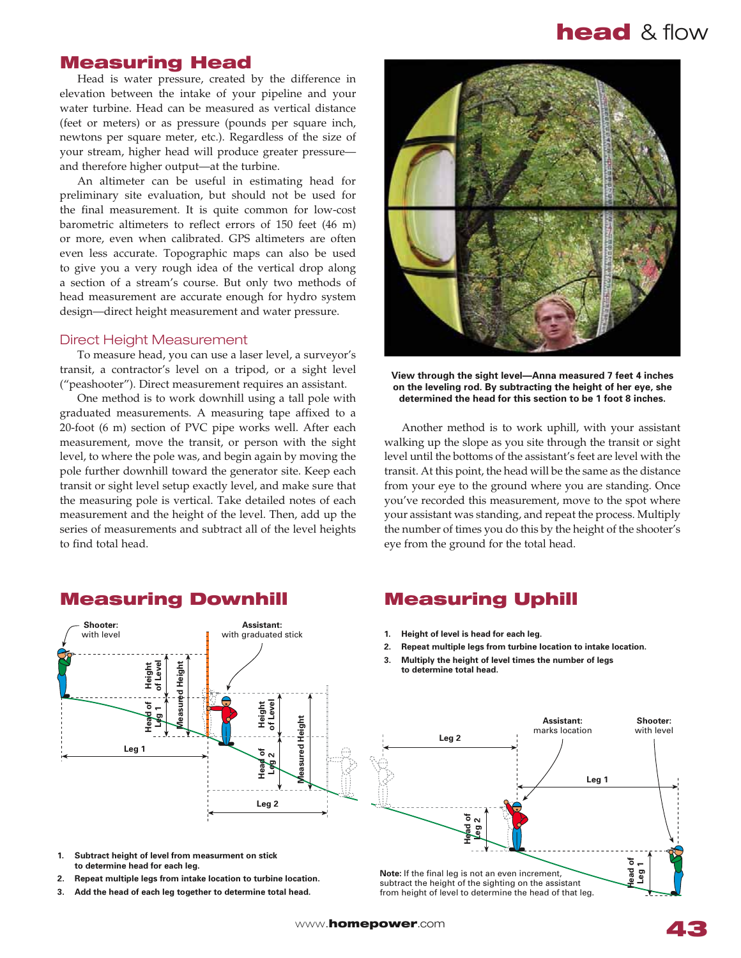# **Measuring Head**

Head is water pressure, created by the difference in elevation between the intake of your pipeline and your water turbine. Head can be measured as vertical distance (feet or meters) or as pressure (pounds per square inch, newtons per square meter, etc.). Regardless of the size of your stream, higher head will produce greater pressureand therefore higher output-at the turbine.

An altimeter can be useful in estimating head for preliminary site evaluation, but should not be used for the final measurement. It is quite common for low-cost barometric altimeters to reflect errors of  $150$  feet  $(46 \text{ m})$ or more, even when calibrated. GPS altimeters are often even less accurate. Topographic maps can also be used to give you a very rough idea of the vertical drop along a section of a stream's course. But only two methods of head measurement are accurate enough for hydro system design-direct height measurement and water pressure.

### **Direct Height Measurement**

To measure head, you can use a laser level, a surveyor's transit, a contractor's level on a tripod, or a sight level ("peashooter"). Direct measurement requires an assistant.

One method is to work downhill using a tall pole with graduated measurements. A measuring tape affixed to a  $20$ -foot (6 m) section of PVC pipe works well. After each measurement, move the transit, or person with the sight level, to where the pole was, and begin again by moving the pole further downhill toward the generator site. Keep each transit or sight level setup exactly level, and make sure that the measuring pole is vertical. Take detailed notes of each measurement and the height of the level. Then, add up the series of measurements and subtract all of the level heights to find total head.

**View through the sight level—Anna measured 7 feet 4 inches** on the leveling rod. By subtracting the height of her eye, she determined the head for this section to be 1 foot 8 inches.

Another method is to work uphill, with your assistant walking up the slope as you site through the transit or sight level until the bottoms of the assistant's feet are level with the transit. At this point, the head will be the same as the distance from your eye to the ground where you are standing. Once you've recorded this measurement, move to the spot where your assistant was standing, and repeat the process. Multiply the number of times you do this by the height of the shooter's eye from the ground for the total head.

- 1. Height of level is head for each leg.
- 2. Repeat multiple legs from turbine location to intake location.
- 3. Multiply the height of level times the number of legs to determine total head.



subtract the height of the sighting on the assistant from height of level to determine the head of that leg.

 $\Delta$ ssistant<sup>.</sup> with graduated stick

3. Add the head of each leg together to determine total head.

# **Measuring Downhill Measuring Uphill**

Shooter: with level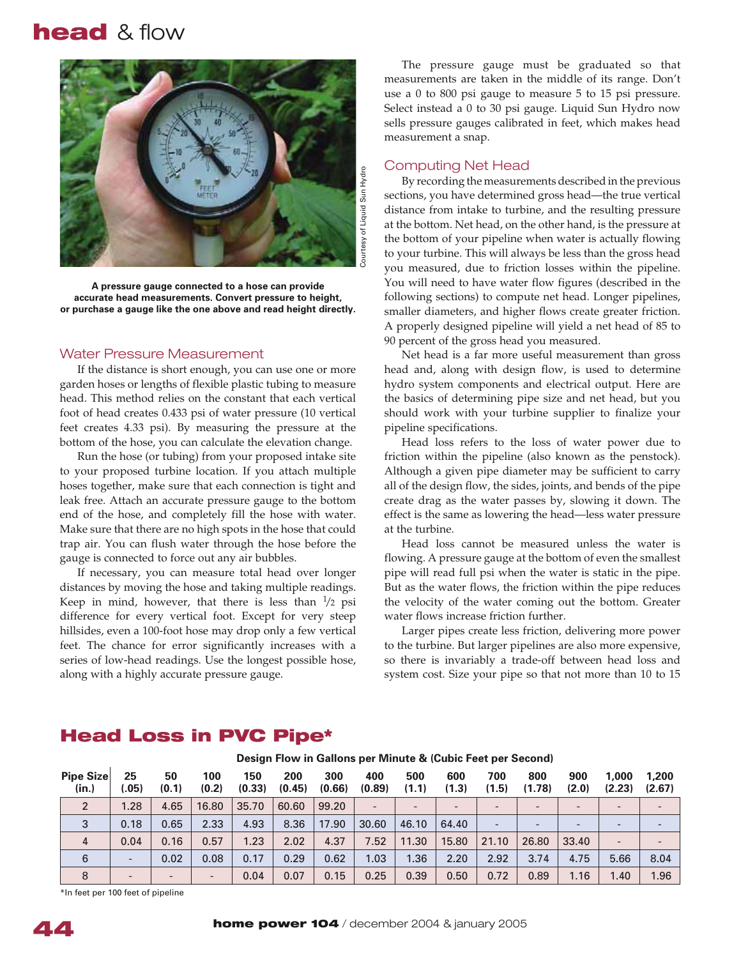

A pressure gauge connected to a hose can provide accurate head measurements. Convert pressure to height, or purchase a gauge like the one above and read height directly.

# *Water Pressure Measurement*

If the distance is short enough, you can use one or more garden hoses or lengths of flexible plastic tubing to measure head. This method relies on the constant that each vertical foot of head creates 0.433 psi of water pressure (10 vertical feet creates 4.33 psi). By measuring the pressure at the bottom of the hose, you can calculate the elevation change.

Run the hose (or tubing) from your proposed intake site to your proposed turbine location. If you attach multiple hoses together, make sure that each connection is tight and leak free. Attach an accurate pressure gauge to the bottom end of the hose, and completely fill the hose with water. Make sure that there are no high spots in the hose that could trap air. You can flush water through the hose before the gauge is connected to force out any air bubbles.

If necessary, you can measure total head over longer distances by moving the hose and taking multiple readings. Keep in mind, however, that there is less than  $\frac{1}{2}$  psi difference for every vertical foot. Except for very steep hillsides, even a 100-foot hose may drop only a few vertical feet. The chance for error significantly increases with a series of low-head readings. Use the longest possible hose, along with a highly accurate pressure gauge.

The pressure gauge must be graduated so that measurements are taken in the middle of its range. Don't use a 0 to 800 psi gauge to measure  $5$  to  $15$  psi pressure. Select instead a 0 to 30 psi gauge. Liquid Sun Hydro now sells pressure gauges calibrated in feet, which makes head measurement a snap.

### **Computing Net Head**

By recording the measurements described in the previous sections, you have determined gross head—the true vertical distance from intake to turbine, and the resulting pressure at the bottom. Net head, on the other hand, is the pressure at the bottom of your pipeline when water is actually flowing to your turbine. This will always be less than the gross head you measured, due to friction losses within the pipeline. You will need to have water flow figures (described in the following sections) to compute net head. Longer pipelines, smaller diameters, and higher flows create greater friction. A properly designed pipeline will yield a net head of 85 to 90 percent of the gross head you measured.

Net head is a far more useful measurement than gross head and, along with design flow, is used to determine hydro system components and electrical output. Here are the basics of determining pipe size and net head, but you should work with your turbine supplier to finalize your pipeline specifications.

Head loss refers to the loss of water power due to friction within the pipeline (also known as the penstock). Although a given pipe diameter may be sufficient to carry all of the design flow, the sides, joints, and bends of the pipe create drag as the water passes by, slowing it down. The effect is the same as lowering the head-less water pressure at the turbine.

Head loss cannot be measured unless the water is flowing. A pressure gauge at the bottom of even the smallest pipe will read full psi when the water is static in the pipe. But as the water flows, the friction within the pipe reduces the velocity of the water coming out the bottom. Greater water flows increase friction further.

Larger pipes create less friction, delivering more power to the turbine. But larger pipelines are also more expensive, so there is invariably a trade-off between head loss and system cost. Size your pipe so that not more than 10 to 15

| <b>Pipe Size</b><br>(in.) | 25<br>.05)               | 50<br>(0.1)              | 100<br>(0.2)    | 150<br>(0.33) | 200<br>(0.45) | 300<br>(0.66) | 400<br>(0.89) | 500<br>(1.1)             | 600<br>(1.3)             | 700<br>(1.5)             | 800<br>(1.78)            | 900<br>(2.0)             | 1,000<br>(2.23) | 1,200<br>(2.67) |
|---------------------------|--------------------------|--------------------------|-----------------|---------------|---------------|---------------|---------------|--------------------------|--------------------------|--------------------------|--------------------------|--------------------------|-----------------|-----------------|
| 2                         | 1.28                     | 4.65                     | 16.80           | 35.70         | 60.60         | 99.20         |               | $\overline{\phantom{0}}$ | $\overline{\phantom{a}}$ | $\overline{\phantom{0}}$ | $\overline{\phantom{0}}$ | $\qquad \qquad$          |                 |                 |
| 3                         | 0.18                     | 0.65                     | 2.33            | 4.93          | 8.36          | 17.90         | 30.60         | 46.10                    | 64.40                    | $\overline{\phantom{0}}$ | $\overline{\phantom{0}}$ | $\overline{\phantom{0}}$ |                 |                 |
| $\overline{4}$            | 0.04                     | 0.16                     | 0.57            | 1.23          | 2.02          | 4.37          | 7.52          | 11.30                    | 15.80                    | 21.10                    | 26.80                    | 33.40                    |                 |                 |
| 6                         | $\overline{\phantom{0}}$ | 0.02                     | 0.08            | 0.17          | 0.29          | 0.62          | 1.03          | 1.36                     | 2.20                     | 2.92                     | 3.74                     | 4.75                     | 5.66            | 8.04            |
| 8                         | $\overline{\phantom{0}}$ | $\overline{\phantom{0}}$ | $\qquad \qquad$ | 0.04          | 0.07          | 0.15          | 0.25          | 0.39                     | 0.50                     | 0.72                     | 0.89                     | 1.16                     | 1.40            | 1.96            |

# Head Loss in PVC Pipe\*

Design Flow in Gallons per Minute & (Cubic Feet per Second)

\*In feet per 100 feet of pipeline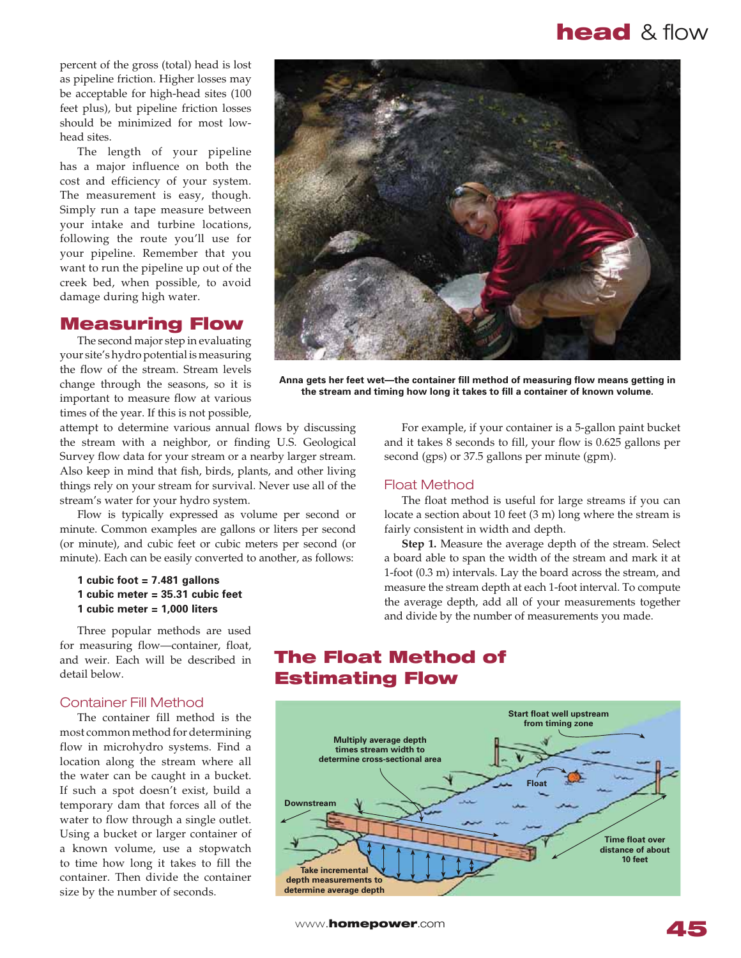percent of the gross (total) head is lost as pipeline friction. Higher losses may be acceptable for high-head sites (100 feet plus), but pipeline friction losses should be minimized for most lowhead sites.

The length of your pipeline has a major influence on both the cost and efficiency of your system. The measurement is easy, though. Simply run a tape measure between your intake and turbine locations, following the route you'll use for your pipeline. Remember that you want to run the pipeline up out of the creek bed, when possible, to avoid damage during high water.

# **Measuring Flow**

The second major step in evaluating your site's hydro potential is measuring the flow of the stream. Stream levels change through the seasons, so it is important to measure flow at various times of the year. If this is not possible,

attempt to determine various annual flows by discussing the stream with a neighbor, or finding U.S. Geological Survey flow data for your stream or a nearby larger stream. Also keep in mind that fish, birds, plants, and other living things rely on your stream for survival. Never use all of the stream's water for your hydro system.

Flow is typically expressed as volume per second or minute. Common examples are gallons or liters per second (or minute), and cubic feet or cubic meters per second (or minute). Each can be easily converted to another, as follows:

# $1$  cubic foot  $= 7.481$  gallons 1 cubic meter = 35.31 cubic feet  $1$  cubic meter  $= 1,000$  liters

Three popular methods are used for measuring flow-container, float, and weir. Each will be described in detail below.

# **Container Fill Method**

The container fill method is the most common method for determining flow in microhydro systems. Find a location along the stream where all the water can be caught in a bucket. If such a spot doesn't exist, build a temporary dam that forces all of the water to flow through a single outlet. Using a bucket or larger container of a known volume, use a stopwatch to time how long it takes to fill the container. Then divide the container size by the number of seconds.



Anna gets her feet wet—the container fill method of measuring flow means getting in the stream and timing how long it takes to fill a container of known volume.

For example, if your container is a 5-gallon paint bucket and it takes  $8$  seconds to fill, your flow is 0.625 gallons per second  $(gps)$  or 37.5 gallons per minute  $(gpm)$ .

# **Float Method**

The float method is useful for large streams if you can locate a section about 10 feet  $(3 \text{ m})$  long where the stream is fairly consistent in width and depth.

**Step 1.** Measure the average depth of the stream. Select a board able to span the width of the stream and mark it at 1-foot (0.3 m) intervals. Lay the board across the stream, and measure the stream depth at each 1-foot interval. To compute the average depth, add all of your measurements together and divide by the number of measurements you made.

# **The Float Method of Estimating Flow**

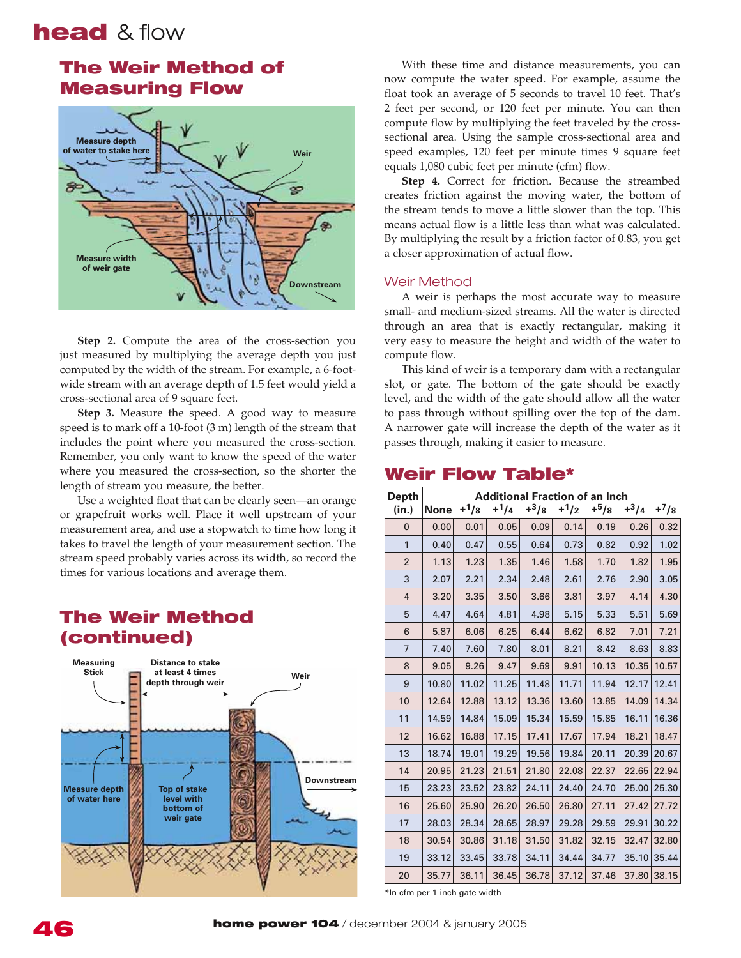# The Weir Method of **Measuring Flow**



**Step 2.** Compute the area of the cross-section you just measured by multiplying the average depth you just computed by the width of the stream. For example, a 6-footwide stream with an average depth of 1.5 feet would yield a cross-sectional area of 9 square feet.

**Step 3.** Measure the speed. A good way to measure speed is to mark off a 10-foot  $(3 \text{ m})$  length of the stream that includes the point where you measured the cross-section. Remember, you only want to know the speed of the water where you measured the cross-section, so the shorter the length of stream you measure, the better.

Use a weighted float that can be clearly seen—an orange or grapefruit works well. Place it well upstream of your measurement area, and use a stopwatch to time how long it takes to travel the length of your measurement section. The stream speed probably varies across its width, so record the times for various locations and average them.

### Distance to stake at least 4 times **Measuring Stick The Weir Method** (continued)



With these time and distance measurements, you can now compute the water speed. For example, assume the float took an average of 5 seconds to travel 10 feet. That's 2 feet per second, or 120 feet per minute. You can then compute flow by multiplying the feet traveled by the crosssectional area. Using the sample cross-sectional area and speed examples, 120 feet per minute times 9 square feet equals 1,080 cubic feet per minute (cfm) flow.

**Step 4.** Correct for friction. Because the streambed creates friction against the moving water, the bottom of the stream tends to move a little slower than the top. This means actual flow is a little less than what was calculated. By multiplying the result by a friction factor of 0.83, you get a closer approximation of actual flow.

# *Weir Method*

A weir is perhaps the most accurate way to measure small- and medium-sized streams. All the water is directed through an area that is exactly rectangular, making it very easy to measure the height and width of the water to compute flow.

This kind of weir is a temporary dam with a rectangular slot, or gate. The bottom of the gate should be exactly level, and the width of the gate should allow all the water to pass through without spilling over the top of the dam. A narrower gate will increase the depth of the water as it passes through, making it easier to measure.

# Weir Flow Table\*

| <b>Depth</b>   | <b>Additional Fraction of an Inch</b> |        |        |        |        |        |        |           |  |  |  |
|----------------|---------------------------------------|--------|--------|--------|--------|--------|--------|-----------|--|--|--|
| (in.)          | <b>None</b>                           | $+1/8$ | $+1/4$ | $+3/8$ | $+1/2$ | $+5/8$ | $+3/4$ | $+^{7}/8$ |  |  |  |
| $\mathbf{0}$   | 0.00                                  | 0.01   | 0.05   | 0.09   | 0.14   | 0.19   | 0.26   | 0.32      |  |  |  |
| $\mathbf{1}$   | 0.40                                  | 0.47   | 0.55   | 0.64   | 0.73   | 0.82   | 0.92   | 1.02      |  |  |  |
| $\overline{2}$ | 1.13                                  | 1.23   | 1.35   | 1.46   | 1.58   | 1.70   | 1.82   | 1.95      |  |  |  |
| 3              | 2.07                                  | 2.21   | 2.34   | 2.48   | 2.61   | 2.76   | 2.90   | 3.05      |  |  |  |
| $\overline{4}$ | 3.20                                  | 3.35   | 3.50   | 3.66   | 3.81   | 3.97   | 4.14   | 4.30      |  |  |  |
| 5              | 4.47                                  | 4.64   | 4.81   | 4.98   | 5.15   | 5.33   | 5.51   | 5.69      |  |  |  |
| 6              | 5.87                                  | 6.06   | 6.25   | 6.44   | 6.62   | 6.82   | 7.01   | 7.21      |  |  |  |
| $\overline{7}$ | 7.40                                  | 7.60   | 7.80   | 8.01   | 8.21   | 8.42   | 8.63   | 8.83      |  |  |  |
| 8              | 9.05                                  | 9.26   | 9.47   | 9.69   | 9.91   | 10.13  | 10.35  | 10.57     |  |  |  |
| 9              | 10.80                                 | 11.02  | 11.25  | 11.48  | 11.71  | 11.94  | 12.17  | 12.41     |  |  |  |
| 10             | 12.64                                 | 12.88  | 13.12  | 13.36  | 13.60  | 13.85  | 14.09  | 14.34     |  |  |  |
| 11             | 14.59                                 | 14.84  | 15.09  | 15.34  | 15.59  | 15.85  | 16.11  | 16.36     |  |  |  |
| 12             | 16.62                                 | 16.88  | 17.15  | 17.41  | 17.67  | 17.94  | 18.21  | 18.47     |  |  |  |
| 13             | 18.74                                 | 19.01  | 19.29  | 19.56  | 19.84  | 20.11  | 20.39  | 20.67     |  |  |  |
| 14             | 20.95                                 | 21.23  | 21.51  | 21.80  | 22.08  | 22.37  | 22.65  | 22.94     |  |  |  |
| 15             | 23.23                                 | 23.52  | 23.82  | 24.11  | 24.40  | 24.70  | 25.00  | 25.30     |  |  |  |
| 16             | 25.60                                 | 25.90  | 26.20  | 26.50  | 26.80  | 27.11  | 27.42  | 27.72     |  |  |  |
| 17             | 28.03                                 | 28.34  | 28.65  | 28.97  | 29.28  | 29.59  | 29.91  | 30.22     |  |  |  |
| 18             | 30.54                                 | 30.86  | 31.18  | 31.50  | 31.82  | 32.15  | 32.47  | 32.80     |  |  |  |
| 19             | 33.12                                 | 33.45  | 33.78  | 34.11  | 34.44  | 34.77  | 35.10  | 35.44     |  |  |  |
| 20             | 35.77                                 | 36.11  | 36.45  | 36.78  | 37.12  | 37.46  | 37.80  | 38.15     |  |  |  |

\*In cfm per 1-inch gate width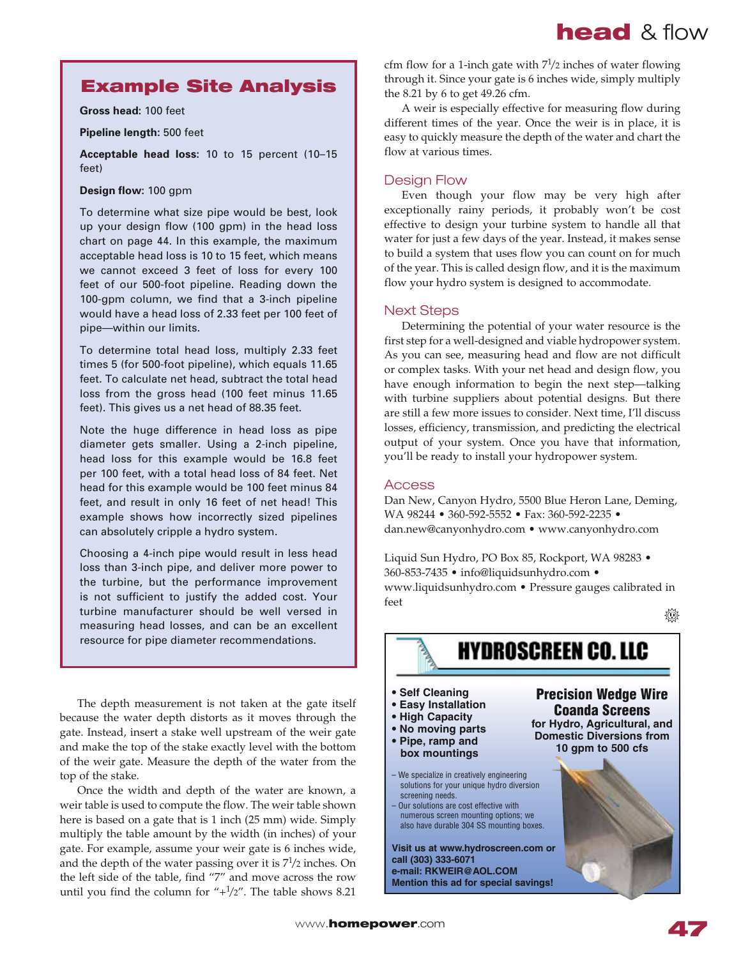# **Example Site Analysis**

**Gross head: 100 feet** 

Pipeline length: 500 feet

**Acceptable head loss:** 10 to 15 percent (10-15 feet)

### **Design flow: 100 gpm**

To determine what size pipe would be best, look up your design flow (100 gpm) in the head loss chart on page 44. In this example, the maximum acceptable head loss is 10 to 15 feet, which means we cannot exceed 3 feet of loss for every 100 feet of our 500-foot pipeline. Reading down the 100-gpm column, we find that a 3-inch pipeline would have a head loss of 2.33 feet per 100 feet of pipe-within our limits.

To determine total head loss, multiply 2.33 feet times 5 (for 500-foot pipeline), which equals 11.65 feet. To calculate net head, subtract the total head loss from the gross head (100 feet minus 11.65 feet). This gives us a net head of 88.35 feet.

Note the huge difference in head loss as pipe diameter gets smaller. Using a 2-inch pipeline, head loss for this example would be 16.8 feet per 100 feet, with a total head loss of 84 feet. Net head for this example would be 100 feet minus 84 feet, and result in only 16 feet of net head! This example shows how incorrectly sized pipelines can absolutely cripple a hydro system.

Choosing a 4-inch pipe would result in less head loss than 3-inch pipe, and deliver more power to the turbine, but the performance improvement is not sufficient to justify the added cost. Your turbine manufacturer should be well versed in measuring head losses, and can be an excellent resource for pipe diameter recommendations.

The depth measurement is not taken at the gate itself because the water depth distorts as it moves through the gate. Instead, insert a stake well upstream of the weir gate and make the top of the stake exactly level with the bottom of the weir gate. Measure the depth of the water from the top of the stake.

Once the width and depth of the water are known, a weir table is used to compute the flow. The weir table shown here is based on a gate that is  $1$  inch  $(25 \text{ mm})$  wide. Simply multiply the table amount by the width (in inches) of your gate. For example, assume your weir gate is 6 inches wide, and the depth of the water passing over it is  $7\frac{1}{2}$  inches. On the left side of the table, find "7" and move across the row until you find the column for  $4\frac{1}{2}$ . The table shows 8.21

cfm flow for a 1-inch gate with  $7\frac{1}{2}$  inches of water flowing through it. Since your gate is 6 inches wide, simply multiply the  $8.21$  by 6 to get  $49.26$  cfm.

A weir is especially effective for measuring flow during different times of the year. Once the weir is in place, it is easy to quickly measure the depth of the water and chart the flow at various times.

# **Design Flow**

Even though your flow may be very high after exceptionally rainy periods, it probably won't be cost effective to design your turbine system to handle all that water for just a few days of the year. Instead, it makes sense to build a system that uses flow you can count on for much of the year. This is called design flow, and it is the maximum flow your hydro system is designed to accommodate.

# **Next Steps**

Determining the potential of your water resource is the first step for a well-designed and viable hydropower system. As you can see, measuring head and flow are not difficult or complex tasks. With your net head and design flow, you have enough information to begin the next step-talking with turbine suppliers about potential designs. But there are still a few more issues to consider. Next time, I'll discuss losses, efficiency, transmission, and predicting the electrical output of your system. Once you have that information, you'll be ready to install your hydropower system.

# Access

Dan New, Canyon Hydro, 5500 Blue Heron Lane, Deming, WA 98244 • 360-592-5552 • Fax: 360-592-2235 • dan.new@canyonhydro.com • www.canyonhydro.com

Liquid Sun Hydro, PO Box 85, Rockport, WA 98283 . 360-853-7435 · info@liquidsunhydro.com · www.liquidsunhydro.com • Pressure gauges calibrated in  $f$  $e$  $e$  $t$ 

**HYDROSCREEN CO. LLC** 





- **Easy Installation**
- **High Capacity**
- No moving parts • Pipe, ramp and
- **box mountings**
- We specialize in creatively engineering solutions for your unique hydro diversion screening needs.
- Our solutions are cost effective with numerous screen mounting options; we also have durable 304 SS mounting boxes.

**Visit us at www.hydroscreen.com or** call (303) 333-6071 e-mail: RKWEIR@AOL.COM **Mention this ad for special savings!** 



**Precision Wedge Wire Coanda Screens** for Hydro, Agricultural, and **Domestic Diversions from**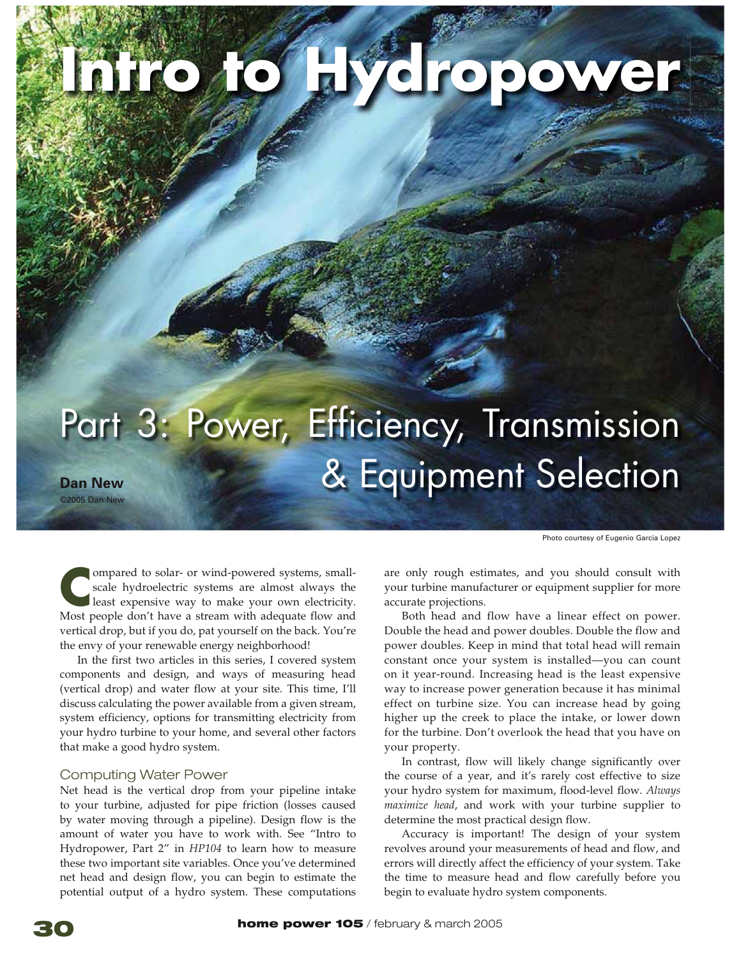# **İÀifo do Fivelopower**

# Part 3: Power, Efficiency, Transmission **>Ê iÜ** EÊ
µÕ«iÌÊ-iiVÌ ^ÓääxÊ>Ê iÜ

Photo courtesy of Eugenio Garcia Lopez

**EXTREM** In a simulated to solar- or wind-powered systems, small-<br>
scale hydroelectric systems are almost always the<br>
least expensive way to make your own electricity.<br>
Most people don't have a stream with adequate flow an ompared to solar- or wind-powered systems, smallscale hydroelectric systems are almost always the least expensive way to make your own electricity. vertical drop, but if you do, pat yourself on the back. You're the envy of your renewable energy neighborhood!

In the first two articles in this series, I covered system components and design, and ways of measuring head (vertical drop) and water flow at your site. This time, I'll discuss calculating the power available from a given stream, system efficiency, options for transmitting electricity from your hydro turbine to your home, and several other factors that make a good hydro system.

# **Computing Water Power**

Net head is the vertical drop from your pipeline intake to your turbine, adjusted for pipe friction (losses caused by water moving through a pipeline). Design flow is the amount of water you have to work with. See "Intro to Hydropower, Part 2" in *HP104* to learn how to measure these two important site variables. Once you've determined net head and design flow, you can begin to estimate the potential output of a hydro system. These computations are only rough estimates, and you should consult with your turbine manufacturer or equipment supplier for more accurate projections.

Both head and flow have a linear effect on power. Double the head and power doubles. Double the flow and power doubles. Keep in mind that total head will remain constant once your system is installed-you can count on it year-round. Increasing head is the least expensive way to increase power generation because it has minimal effect on turbine size. You can increase head by going higher up the creek to place the intake, or lower down for the turbine. Don't overlook the head that you have on your property.

In contrast, flow will likely change significantly over the course of a year, and it's rarely cost effective to size your hydro system for maximum, flood-level flow. Always *maximize head*, and work with your turbine supplier to determine the most practical design flow.

Accuracy is important! The design of your system revolves around your measurements of head and flow, and errors will directly affect the efficiency of your system. Take the time to measure head and flow carefully before you begin to evaluate hydro system components.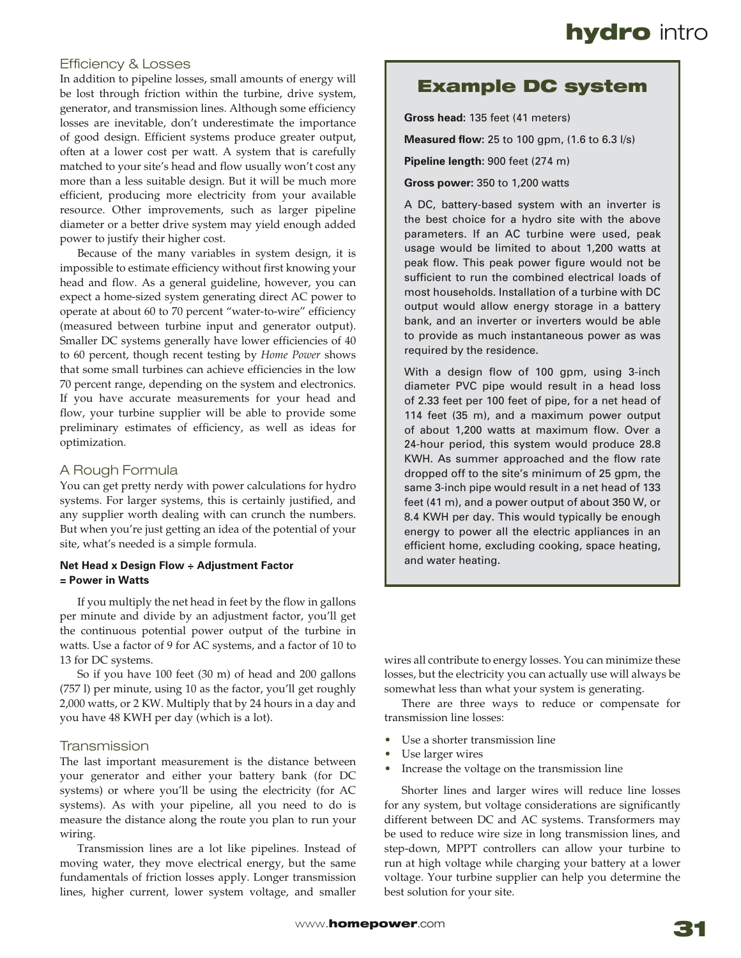# **Efficiency & Losses**

In addition to pipeline losses, small amounts of energy will be lost through friction within the turbine, drive system, generator, and transmission lines. Although some efficiency losses are inevitable, don't underestimate the importance of good design. Efficient systems produce greater output, often at a lower cost per watt. A system that is carefully matched to your site's head and flow usually won't cost any more than a less suitable design. But it will be much more efficient, producing more electricity from your available resource. Other improvements, such as larger pipeline diameter or a better drive system may yield enough added power to justify their higher cost.

Because of the many variables in system design, it is impossible to estimate efficiency without first knowing your head and flow. As a general guideline, however, you can expect a home-sized system generating direct AC power to operate at about 60 to 70 percent "water-to-wire" efficiency (measured between turbine input and generator output). Smaller DC systems generally have lower efficiencies of 40 to 60 percent, though recent testing by Home Power shows that some small turbines can achieve efficiencies in the low 70 percent range, depending on the system and electronics. If you have accurate measurements for your head and flow, your turbine supplier will be able to provide some preliminary estimates of efficiency, as well as ideas for optimization.

# A Rough Formula

You can get pretty nerdy with power calculations for hydro systems. For larger systems, this is certainly justified, and any supplier worth dealing with can crunch the numbers. But when you're just getting an idea of the potential of your site, what's needed is a simple formula.

### **Net Head x Design Flow ÷ Adjustment Factor**  $=$  Power in Watts

If you multiply the net head in feet by the flow in gallons per minute and divide by an adjustment factor, you'll get the continuous potential power output of the turbine in watts. Use a factor of 9 for AC systems, and a factor of 10 to 13 for DC systems.

So if you have 100 feet (30 m) of head and 200 gallons  $(757$  l) per minute, using 10 as the factor, you'll get roughly 2,000 watts, or 2 KW. Multiply that by 24 hours in a day and you have 48 KWH per day (which is a lot).

# *4RANSMISSION*

The last important measurement is the distance between your generator and either your battery bank (for DC systems) or where you'll be using the electricity (for AC systems). As with your pipeline, all you need to do is measure the distance along the route you plan to run your wiring.

Transmission lines are a lot like pipelines. Instead of moving water, they move electrical energy, but the same fundamentals of friction losses apply. Longer transmission lines, higher current, lower system voltage, and smaller

# **Example DC system**

Gross head: 135 feet (41 meters)

**Measured flow:** 25 to 100 gpm, (1.6 to 6.3 l/s)

Pipeline length: 900 feet (274 m)

**Gross power: 350 to 1,200 watts** 

A DC, battery-based system with an inverter is the best choice for a hydro site with the above parameters. If an AC turbine were used, peak usage would be limited to about 1,200 watts at peak flow. This peak power figure would not be sufficient to run the combined electrical loads of most households. Installation of a turbine with DC output would allow energy storage in a battery bank, and an inverter or inverters would be able to provide as much instantaneous power as was required by the residence.

With a design flow of 100 gpm, using 3-inch diameter PVC pipe would result in a head loss of 2.33 feet per 100 feet of pipe, for a net head of 114 feet (35 m), and a maximum power output of about 1,200 watts at maximum flow. Over a 24-hour period, this system would produce 28.8 KWH. As summer approached and the flow rate dropped off to the site's minimum of 25 gpm, the same 3-inch pipe would result in a net head of 133 feet (41 m), and a power output of about 350 W, or 8.4 KWH per day. This would typically be enough energy to power all the electric appliances in an efficient home, excluding cooking, space heating, and water heating.

wires all contribute to energy losses. You can minimize these losses, but the electricity you can actually use will always be somewhat less than what your system is generating.

There are three ways to reduce or compensate for transmission line losses:

- Use a shorter transmission line
- Use larger wires
- Increase the voltage on the transmission line

Shorter lines and larger wires will reduce line losses for any system, but voltage considerations are significantly different between DC and AC systems. Transformers may be used to reduce wire size in long transmission lines, and step-down, MPPT controllers can allow your turbine to run at high voltage while charging your battery at a lower voltage. Your turbine supplier can help you determine the best solution for your site.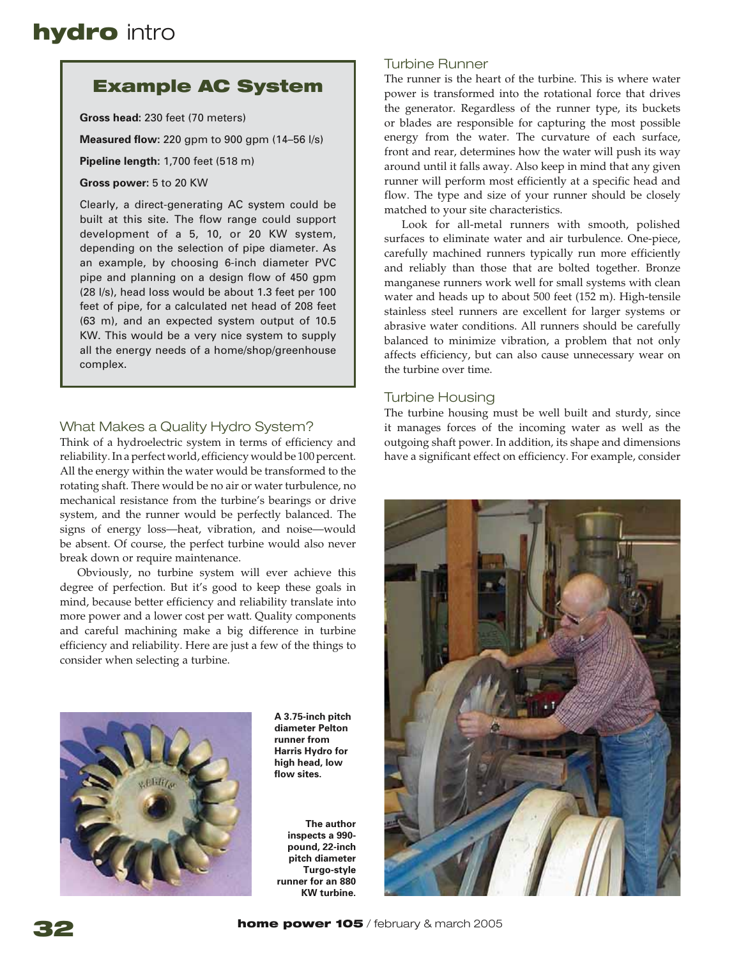# **Example AC System**

Gross head: 230 feet (70 meters)

**Measured flow:** 220 gpm to 900 gpm (14-56 l/s)

**Pipeline length: 1,700 feet (518 m)** 

**Gross power: 5 to 20 KW** 

Clearly, a direct-generating AC system could be built at this site. The flow range could support development of a 5, 10, or 20 KW system, depending on the selection of pipe diameter. As an example, by choosing 6-inch diameter PVC pipe and planning on a design flow of 450 gpm (28 l/s), head loss would be about 1.3 feet per 100 feet of pipe, for a calculated net head of 208 feet  $(63 \, \text{m})$ , and an expected system output of 10.5 KW. This would be a very nice system to supply all the energy needs of a home/shop/greenhouse complex.

# What Makes a Quality Hydro System?

Think of a hydroelectric system in terms of efficiency and reliability. In a perfect world, efficiency would be 100 percent. All the energy within the water would be transformed to the rotating shaft. There would be no air or water turbulence, no mechanical resistance from the turbine's bearings or drive system, and the runner would be perfectly balanced. The signs of energy loss—heat, vibration, and noise—would be absent. Of course, the perfect turbine would also never break down or require maintenance.

Obviously, no turbine system will ever achieve this degree of perfection. But it's good to keep these goals in mind, because better efficiency and reliability translate into more power and a lower cost per watt. Quality components and careful machining make a big difference in turbine efficiency and reliability. Here are just a few of the things to consider when selecting a turbine.



**A** 3.75-inch pitch diameter Pelton **runner** from **Harris Hydro for** high head, low **flow** sites

*The author* inspects a 990pound, 22-inch **pitch diameter Turgo-style** runner for an 880 **KW** turbine.

# *Turbine Runner*

The runner is the heart of the turbine. This is where water power is transformed into the rotational force that drives the generator. Regardless of the runner type, its buckets or blades are responsible for capturing the most possible energy from the water. The curvature of each surface, front and rear, determines how the water will push its way around until it falls away. Also keep in mind that any given runner will perform most efficiently at a specific head and flow. The type and size of your runner should be closely matched to your site characteristics.

Look for all-metal runners with smooth, polished surfaces to eliminate water and air turbulence. One-piece, carefully machined runners typically run more efficiently and reliably than those that are bolted together. Bronze manganese runners work well for small systems with clean water and heads up to about  $500$  feet (152 m). High-tensile stainless steel runners are excellent for larger systems or abrasive water conditions. All runners should be carefully balanced to minimize vibration, a problem that not only affects efficiency, but can also cause unnecessary wear on the turbine over time.

# **Turbine Housing**

The turbine housing must be well built and sturdy, since it manages forces of the incoming water as well as the outgoing shaft power. In addition, its shape and dimensions have a significant effect on efficiency. For example, consider

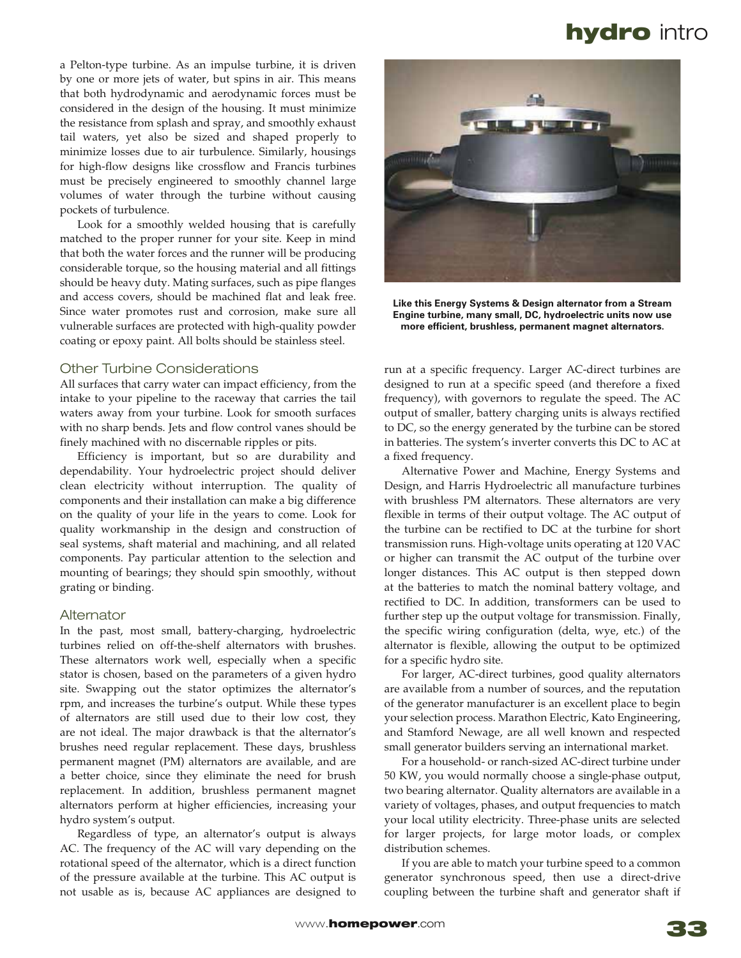a Pelton-type turbine. As an impulse turbine, it is driven by one or more jets of water, but spins in air. This means that both hydrodynamic and aerodynamic forces must be considered in the design of the housing. It must minimize the resistance from splash and spray, and smoothly exhaust tail waters, yet also be sized and shaped properly to minimize losses due to air turbulence. Similarly, housings for high-flow designs like crossflow and Francis turbines must be precisely engineered to smoothly channel large volumes of water through the turbine without causing pockets of turbulence.

Look for a smoothly welded housing that is carefully matched to the proper runner for your site. Keep in mind that both the water forces and the runner will be producing considerable torque, so the housing material and all fittings should be heavy duty. Mating surfaces, such as pipe flanges and access covers, should be machined flat and leak free. Since water promotes rust and corrosion, make sure all vulnerable surfaces are protected with high-quality powder coating or epoxy paint. All bolts should be stainless steel.

### *Other Turbine Considerations*

All surfaces that carry water can impact efficiency, from the intake to your pipeline to the raceway that carries the tail waters away from your turbine. Look for smooth surfaces with no sharp bends. Jets and flow control vanes should be finely machined with no discernable ripples or pits.

Efficiency is important, but so are durability and dependability. Your hydroelectric project should deliver clean electricity without interruption. The quality of components and their installation can make a big difference on the quality of your life in the years to come. Look for quality workmanship in the design and construction of seal systems, shaft material and machining, and all related components. Pay particular attention to the selection and mounting of bearings; they should spin smoothly, without grating or binding.

### Alternator

In the past, most small, battery-charging, hydroelectric turbines relied on off-the-shelf alternators with brushes. These alternators work well, especially when a specific stator is chosen, based on the parameters of a given hydro site. Swapping out the stator optimizes the alternator's rpm, and increases the turbine's output. While these types of alternators are still used due to their low cost, they are not ideal. The major drawback is that the alternator's brushes need regular replacement. These days, brushless permanent magnet (PM) alternators are available, and are a better choice, since they eliminate the need for brush replacement. In addition, brushless permanent magnet alternators perform at higher efficiencies, increasing your hydro system's output.

Regardless of type, an alternator's output is always AC. The frequency of the AC will vary depending on the rotational speed of the alternator, which is a direct function of the pressure available at the turbine. This AC output is not usable as is, because AC appliances are designed to



Like this Energy Systems & Design alternator from a Stream Engine turbine, many small, DC, hydroelectric units now use more efficient, brushless, permanent magnet alternators.

run at a specific frequency. Larger AC-direct turbines are designed to run at a specific speed (and therefore a fixed frequency), with governors to regulate the speed. The AC output of smaller, battery charging units is always rectified to DC, so the energy generated by the turbine can be stored in batteries. The system's inverter converts this DC to AC at a fixed frequency.

Alternative Power and Machine, Energy Systems and Design, and Harris Hydroelectric all manufacture turbines with brushless PM alternators. These alternators are very flexible in terms of their output voltage. The AC output of the turbine can be rectified to DC at the turbine for short transmission runs. High-voltage units operating at 120 VAC or higher can transmit the AC output of the turbine over longer distances. This AC output is then stepped down at the batteries to match the nominal battery voltage, and rectified to DC. In addition, transformers can be used to further step up the output voltage for transmission. Finally, the specific wiring configuration (delta, wye, etc.) of the alternator is flexible, allowing the output to be optimized for a specific hydro site.

For larger, AC-direct turbines, good quality alternators are available from a number of sources, and the reputation of the generator manufacturer is an excellent place to begin your selection process. Marathon Electric, Kato Engineering, and Stamford Newage, are all well known and respected small generator builders serving an international market.

For a household- or ranch-sized AC-direct turbine under 50 KW, you would normally choose a single-phase output, two bearing alternator. Quality alternators are available in a variety of voltages, phases, and output frequencies to match your local utility electricity. Three-phase units are selected for larger projects, for large motor loads, or complex distribution schemes.

If you are able to match your turbine speed to a common generator synchronous speed, then use a direct-drive coupling between the turbine shaft and generator shaft if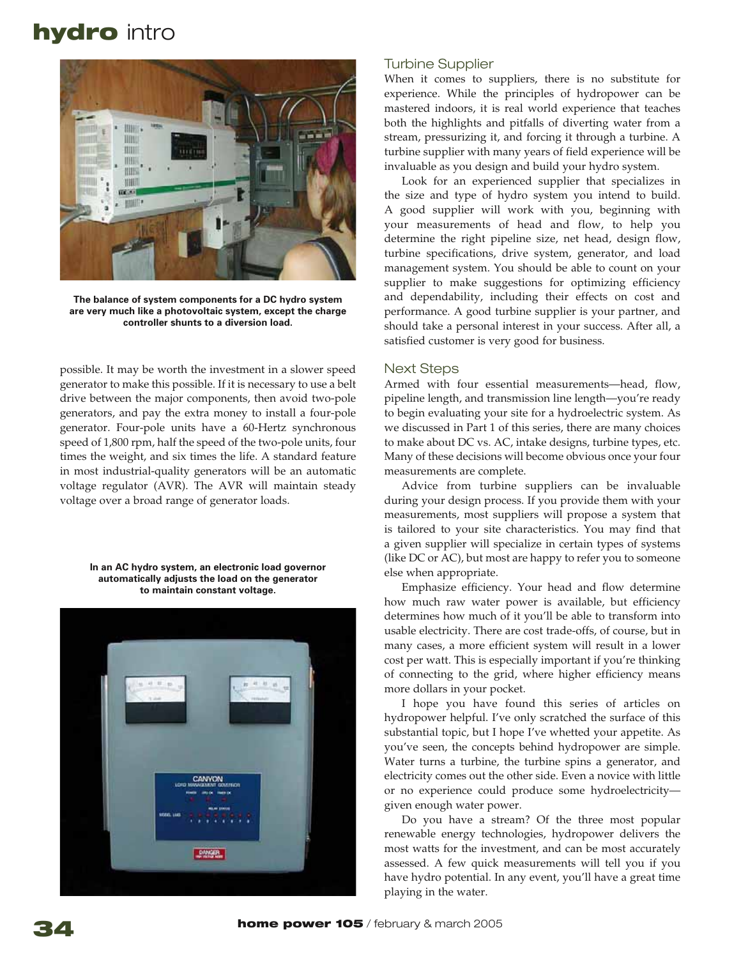

The balance of system components for a DC hydro system are very much like a photovoltaic system, except the charge controller shunts to a diversion load.

possible. It may be worth the investment in a slower speed generator to make this possible. If it is necessary to use a belt drive between the major components, then avoid two-pole generators, and pay the extra money to install a four-pole generator. Four-pole units have a 60-Hertz synchronous speed of 1,800 rpm, half the speed of the two-pole units, four times the weight, and six times the life. A standard feature in most industrial-quality generators will be an automatic voltage regulator (AVR). The AVR will maintain steady voltage over a broad range of generator loads.

In an AC hydro system, an electronic load governor automatically adjusts the load on the generator to maintain constant voltage.



# *<u>Turbine Supplier</u>*

When it comes to suppliers, there is no substitute for experience. While the principles of hydropower can be mastered indoors, it is real world experience that teaches both the highlights and pitfalls of diverting water from a stream, pressurizing it, and forcing it through a turbine. A turbine supplier with many years of field experience will be invaluable as you design and build your hydro system.

Look for an experienced supplier that specializes in the size and type of hydro system you intend to build. A good supplier will work with you, beginning with your measurements of head and flow, to help you determine the right pipeline size, net head, design flow, turbine specifications, drive system, generator, and load management system. You should be able to count on your supplier to make suggestions for optimizing efficiency and dependability, including their effects on cost and performance. A good turbine supplier is your partner, and should take a personal interest in your success. After all, a satisfied customer is very good for business.

# **Next Steps**

Armed with four essential measurements—head, flow, pipeline length, and transmission line length—you're ready to begin evaluating your site for a hydroelectric system. As we discussed in Part 1 of this series, there are many choices to make about DC vs. AC, intake designs, turbine types, etc. Many of these decisions will become obvious once your four measurements are complete.

Advice from turbine suppliers can be invaluable during your design process. If you provide them with your measurements, most suppliers will propose a system that is tailored to your site characteristics. You may find that a given supplier will specialize in certain types of systems (like DC or AC), but most are happy to refer you to someone else when appropriate.

Emphasize efficiency. Your head and flow determine how much raw water power is available, but efficiency determines how much of it you'll be able to transform into usable electricity. There are cost trade-offs, of course, but in many cases, a more efficient system will result in a lower cost per watt. This is especially important if you're thinking of connecting to the grid, where higher efficiency means more dollars in your pocket.

I hope you have found this series of articles on hydropower helpful. I've only scratched the surface of this substantial topic, but I hope I've whetted your appetite. As you've seen, the concepts behind hydropower are simple. Water turns a turbine, the turbine spins a generator, and electricity comes out the other side. Even a novice with little or no experience could produce some hydroelectricitygiven enough water power.

Do you have a stream? Of the three most popular renewable energy technologies, hydropower delivers the most watts for the investment, and can be most accurately assessed. A few quick measurements will tell you if you have hydro potential. In any event, you'll have a great time playing in the water.